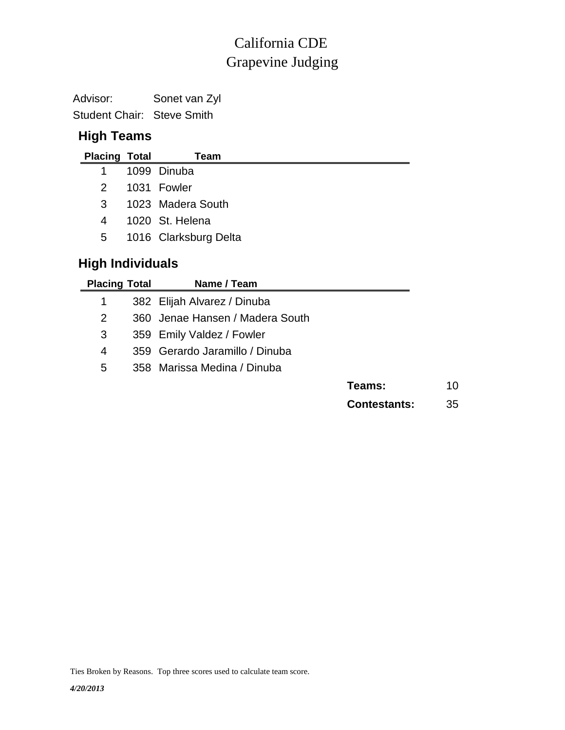## Grapevine Judging California CDE

Advisor: Sonet van Zyl Student Chair: Steve Smith

### **High Teams**

| <b>Placing Total</b>    |  | Team                  |  |
|-------------------------|--|-----------------------|--|
| 1                       |  | 1099 Dinuba           |  |
| 2                       |  | 1031 Fowler           |  |
| 3                       |  | 1023 Madera South     |  |
| 4                       |  | 1020 St. Helena       |  |
| 5 <sub>5</sub>          |  | 1016 Clarksburg Delta |  |
| <b>High Individuals</b> |  |                       |  |

| <b>Placing Total</b>  | Name / Team                     |                     |    |
|-----------------------|---------------------------------|---------------------|----|
| 1                     | 382 Elijah Alvarez / Dinuba     |                     |    |
| $\mathbf{2}^{\prime}$ | 360 Jenae Hansen / Madera South |                     |    |
| 3                     | 359 Emily Valdez / Fowler       |                     |    |
| 4                     | 359 Gerardo Jaramillo / Dinuba  |                     |    |
| 5                     | 358 Marissa Medina / Dinuba     |                     |    |
|                       |                                 | Teams:              | 10 |
|                       |                                 | <b>Contestants:</b> | 35 |

Ties Broken by Reasons. Top three scores used to calculate team score.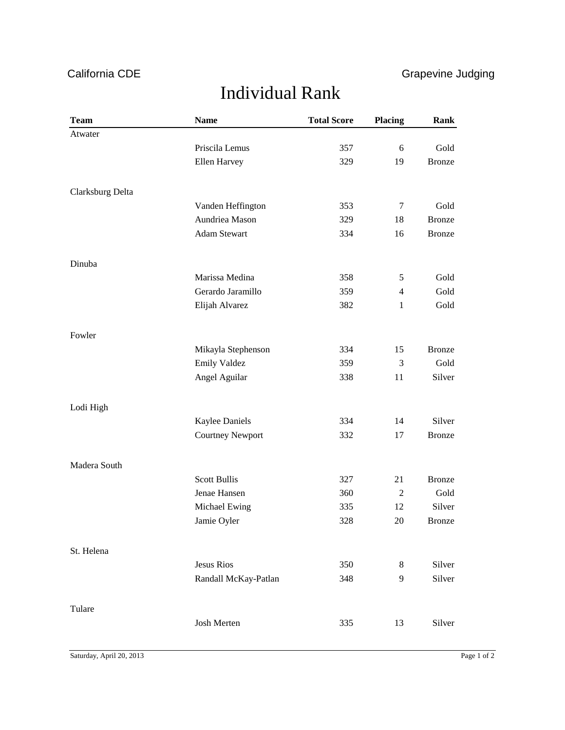## California CDE **Grapevine Judging**

# Individual Rank

| <b>Team</b>      | <b>Name</b>             | <b>Total Score</b> | <b>Placing</b> | Rank          |
|------------------|-------------------------|--------------------|----------------|---------------|
| Atwater          |                         |                    |                |               |
|                  | Priscila Lemus          | 357                | 6              | Gold          |
|                  | Ellen Harvey            | 329                | 19             | <b>Bronze</b> |
|                  |                         |                    |                |               |
| Clarksburg Delta |                         |                    |                |               |
|                  | Vanden Heffington       | 353                | $\tau$         | Gold          |
|                  | Aundriea Mason          | 329                | 18             | <b>Bronze</b> |
|                  | <b>Adam Stewart</b>     | 334                | 16             | <b>Bronze</b> |
| Dinuba           |                         |                    |                |               |
|                  | Marissa Medina          | 358                | 5              | Gold          |
|                  | Gerardo Jaramillo       | 359                | $\overline{4}$ | Gold          |
|                  | Elijah Alvarez          | 382                | $\mathbf{1}$   | Gold          |
| Fowler           |                         |                    |                |               |
|                  | Mikayla Stephenson      | 334                | 15             | <b>Bronze</b> |
|                  | <b>Emily Valdez</b>     | 359                | 3              | Gold          |
|                  | Angel Aguilar           | 338                | 11             | Silver        |
| Lodi High        |                         |                    |                |               |
|                  | <b>Kaylee Daniels</b>   | 334                | 14             | Silver        |
|                  | <b>Courtney Newport</b> | 332                | 17             | <b>Bronze</b> |
| Madera South     |                         |                    |                |               |
|                  | <b>Scott Bullis</b>     | 327                | 21             | <b>Bronze</b> |
|                  | Jenae Hansen            | 360                | $\overline{2}$ | Gold          |
|                  | Michael Ewing           | 335                | 12             | Silver        |
|                  | Jamie Oyler             | 328                | 20             | <b>Bronze</b> |
| St. Helena       |                         |                    |                |               |
|                  | <b>Jesus Rios</b>       | 350                | 8              | Silver        |
|                  | Randall McKay-Patlan    | 348                | 9              | Silver        |
| Tulare           |                         |                    |                |               |
|                  | Josh Merten             | 335                | 13             | Silver        |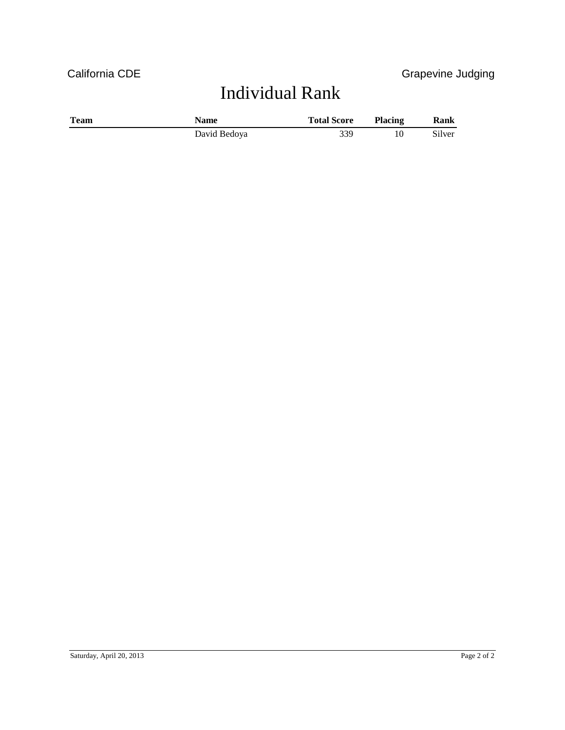# Individual Rank

| <b>Team</b> | Name         | <b>Total Score</b> | <b>Placing</b> | Rank   |
|-------------|--------------|--------------------|----------------|--------|
|             | David Bedoya | 339                |                | Silver |